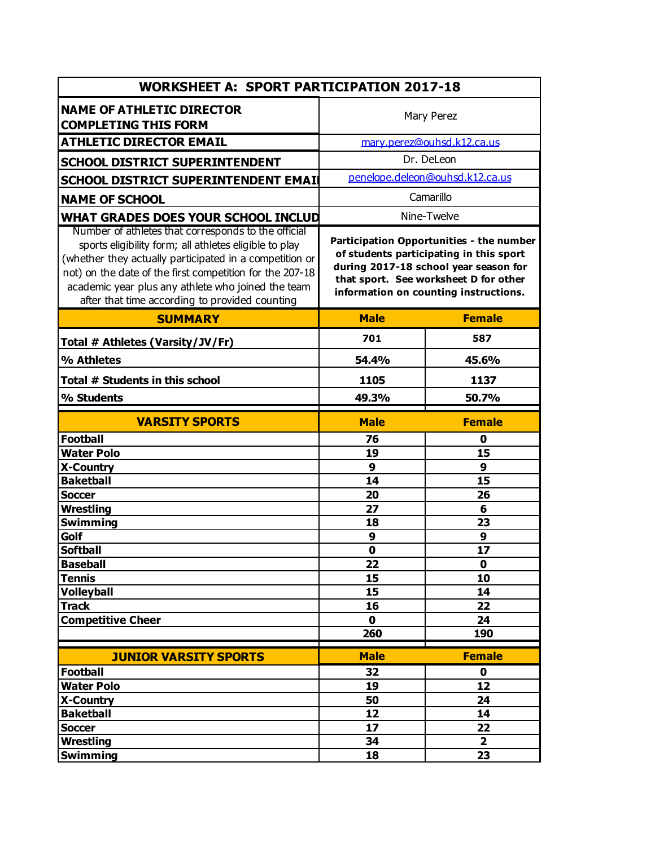| <b>WORKSHEET A: SPORT PARTICIPATION 2017-18</b>                                                                                                                                                                                                                                                                                              |                                                                                                                                                                                                                |                                 |  |  |
|----------------------------------------------------------------------------------------------------------------------------------------------------------------------------------------------------------------------------------------------------------------------------------------------------------------------------------------------|----------------------------------------------------------------------------------------------------------------------------------------------------------------------------------------------------------------|---------------------------------|--|--|
| <b>NAME OF ATHLETIC DIRECTOR</b><br><b>COMPLETING THIS FORM</b>                                                                                                                                                                                                                                                                              | Mary Perez                                                                                                                                                                                                     |                                 |  |  |
| <b>ATHLETIC DIRECTOR EMAIL</b>                                                                                                                                                                                                                                                                                                               | mary.perez@ouhsd.k12.ca.us                                                                                                                                                                                     |                                 |  |  |
| <b>SCHOOL DISTRICT SUPERINTENDENT</b>                                                                                                                                                                                                                                                                                                        |                                                                                                                                                                                                                | Dr. DeLeon                      |  |  |
| SCHOOL DISTRICT SUPERINTENDENT EMAIL                                                                                                                                                                                                                                                                                                         |                                                                                                                                                                                                                | penelope.deleon@ouhsd.k12.ca.us |  |  |
| <b>NAME OF SCHOOL</b>                                                                                                                                                                                                                                                                                                                        | Camarillo                                                                                                                                                                                                      |                                 |  |  |
| WHAT GRADES DOES YOUR SCHOOL INCLUD                                                                                                                                                                                                                                                                                                          | Nine-Twelve                                                                                                                                                                                                    |                                 |  |  |
| Number of athletes that corresponds to the official<br>sports eligibility form; all athletes eligible to play<br>(whether they actually participated in a competition or<br>not) on the date of the first competition for the 207-18<br>academic year plus any athlete who joined the team<br>after that time according to provided counting | Participation Opportunities - the number<br>of students participating in this sport<br>during 2017-18 school year season for<br>that sport. See worksheet D for other<br>information on counting instructions. |                                 |  |  |
| <b>SUMMARY</b>                                                                                                                                                                                                                                                                                                                               | <b>Male</b>                                                                                                                                                                                                    | <b>Female</b>                   |  |  |
| Total # Athletes (Varsity/JV/Fr)                                                                                                                                                                                                                                                                                                             | 701                                                                                                                                                                                                            | 587                             |  |  |
| % Athletes                                                                                                                                                                                                                                                                                                                                   | 54.4%                                                                                                                                                                                                          | 45.6%                           |  |  |
| Total # Students in this school                                                                                                                                                                                                                                                                                                              | 1105                                                                                                                                                                                                           | 1137                            |  |  |
|                                                                                                                                                                                                                                                                                                                                              | 49.3%                                                                                                                                                                                                          | 50.7%                           |  |  |
| % Students                                                                                                                                                                                                                                                                                                                                   |                                                                                                                                                                                                                |                                 |  |  |
| <b>VARSITY SPORTS</b>                                                                                                                                                                                                                                                                                                                        | <b>Male</b>                                                                                                                                                                                                    | <b>Female</b>                   |  |  |
| <b>Football</b>                                                                                                                                                                                                                                                                                                                              | 76                                                                                                                                                                                                             | 0                               |  |  |
| <b>Water Polo</b>                                                                                                                                                                                                                                                                                                                            | 19                                                                                                                                                                                                             | 15                              |  |  |
| <b>X-Country</b>                                                                                                                                                                                                                                                                                                                             | 9                                                                                                                                                                                                              | 9                               |  |  |
| <b>Baketball</b>                                                                                                                                                                                                                                                                                                                             | 14                                                                                                                                                                                                             | 15                              |  |  |
| <b>Soccer</b>                                                                                                                                                                                                                                                                                                                                | 20                                                                                                                                                                                                             | 26                              |  |  |
| Wrestling                                                                                                                                                                                                                                                                                                                                    | 27                                                                                                                                                                                                             | 6                               |  |  |
| <b>Swimming</b>                                                                                                                                                                                                                                                                                                                              | 18                                                                                                                                                                                                             | 23                              |  |  |
| Golf                                                                                                                                                                                                                                                                                                                                         | 9                                                                                                                                                                                                              | 9                               |  |  |
| <b>Softball</b>                                                                                                                                                                                                                                                                                                                              | $\mathbf 0$                                                                                                                                                                                                    | 17                              |  |  |
| <b>Baseball</b>                                                                                                                                                                                                                                                                                                                              | 22                                                                                                                                                                                                             | $\mathbf 0$                     |  |  |
| <b>Tennis</b>                                                                                                                                                                                                                                                                                                                                | 15                                                                                                                                                                                                             | 10                              |  |  |
| <b>Volleyball</b>                                                                                                                                                                                                                                                                                                                            | 15                                                                                                                                                                                                             | 14                              |  |  |
| <b>Track</b>                                                                                                                                                                                                                                                                                                                                 | 16                                                                                                                                                                                                             | 22                              |  |  |
| <b>Competitive Cheer</b>                                                                                                                                                                                                                                                                                                                     | $\mathbf 0$                                                                                                                                                                                                    | 24                              |  |  |
|                                                                                                                                                                                                                                                                                                                                              | 260                                                                                                                                                                                                            | 190                             |  |  |
| <b>JUNIOR VARSITY SPORTS</b>                                                                                                                                                                                                                                                                                                                 | <b>Male</b>                                                                                                                                                                                                    | <b>Female</b>                   |  |  |
| <b>Football</b>                                                                                                                                                                                                                                                                                                                              | 32                                                                                                                                                                                                             | $\mathbf 0$                     |  |  |
| <b>Water Polo</b>                                                                                                                                                                                                                                                                                                                            | 19                                                                                                                                                                                                             | 12                              |  |  |
| X-Country                                                                                                                                                                                                                                                                                                                                    | 50                                                                                                                                                                                                             | 24                              |  |  |
| <b>Baketball</b>                                                                                                                                                                                                                                                                                                                             | 12                                                                                                                                                                                                             | 14                              |  |  |
| <b>Soccer</b><br><b>Wrestling</b>                                                                                                                                                                                                                                                                                                            | 17<br>34                                                                                                                                                                                                       | 22<br>$\mathbf{2}$              |  |  |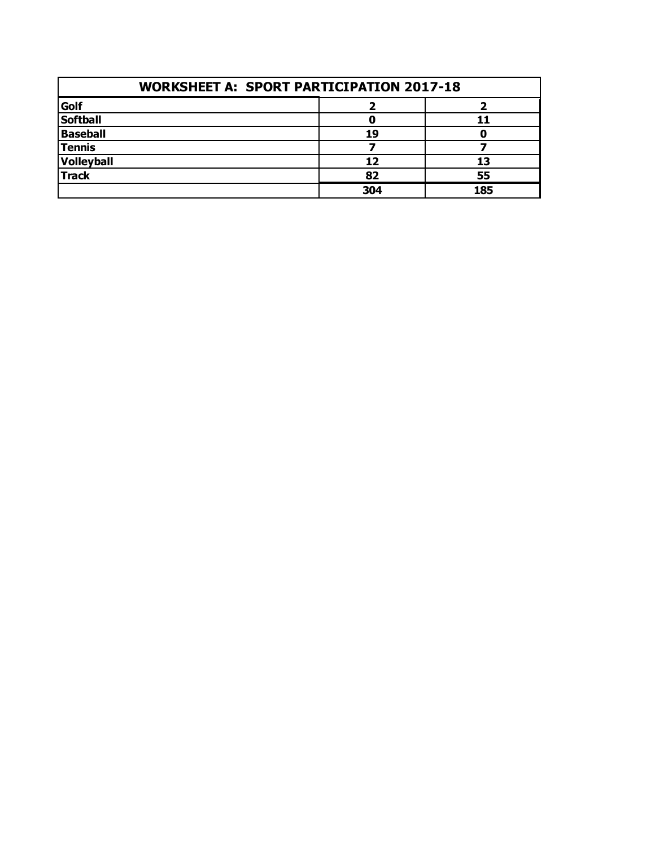| <b>WORKSHEET A: SPORT PARTICIPATION 2017-18</b> |     |     |  |
|-------------------------------------------------|-----|-----|--|
| Golf                                            |     |     |  |
| <b>Softball</b>                                 |     |     |  |
| <b>Baseball</b>                                 | 19  |     |  |
| <b>Tennis</b>                                   |     |     |  |
| Volleyball                                      |     | 13  |  |
| <b>Track</b>                                    | 82  | 55  |  |
|                                                 | 304 | 185 |  |